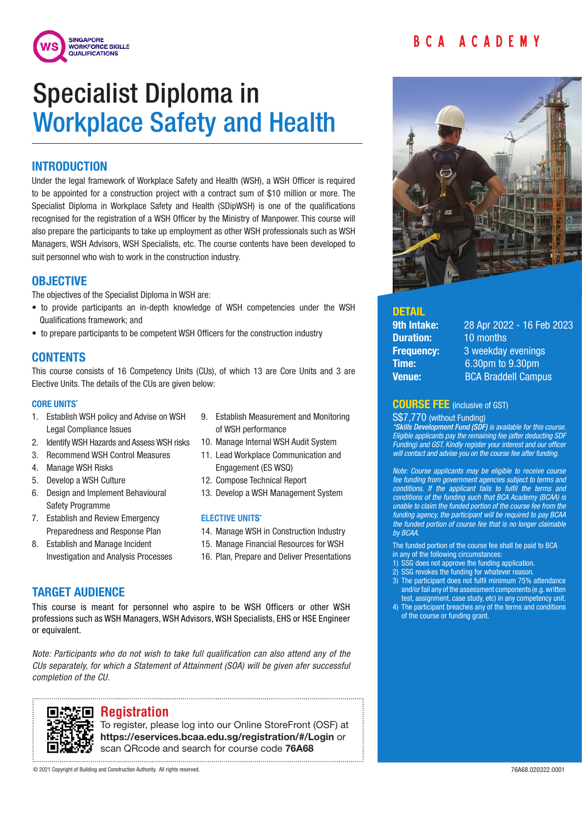



# Specialist Diploma in Workplace Safety and Health

# INTRODUCTION

Under the legal framework of Workplace Safety and Health (WSH), a WSH Officer is required to be appointed for a construction project with a contract sum of \$10 million or more. The Specialist Diploma in Workplace Safety and Health (SDipWSH) is one of the qualifications recognised for the registration of a WSH Officer by the Ministry of Manpower. This course will also prepare the participants to take up employment as other WSH professionals such as WSH Managers, WSH Advisors, WSH Specialists, etc. The course contents have been developed to suit personnel who wish to work in the construction industry.

## **OBJECTIVE**

The objectives of the Specialist Diploma in WSH are:

- to provide participants an in-depth knowledge of WSH competencies under the WSH Qualifications framework; and
- to prepare participants to be competent WSH Officers for the construction industry

# **CONTENTS**

This course consists of 16 Competency Units (CUs), of which 13 are Core Units and 3 are Elective Units. The details of the CUs are given below:

#### **CORE UNITS\***

- 1. Establish WSH policy and Advise on WSH Legal Compliance Issues
- 2. Identify WSH Hazards and Assess WSH risks
- 3. Recommend WSH Control Measures
- 4. Manage WSH Risks
- 5. Develop a WSH Culture
- 6. Design and Implement Behavioural Safety Programme
- 7. Establish and Review Emergency Preparedness and Response Plan
- 8. Establish and Manage Incident Investigation and Analysis Processes
- 9. Establish Measurement and Monitoring of WSH performance
- 10. Manage Internal WSH Audit System
- 11. Lead Workplace Communication and Engagement (ES WSQ)
- 12. Compose Technical Report
- 13. Develop a WSH Management System

#### **ELECTIVE UNITS\***

- 14. Manage WSH in Construction Industry
- 15. Manage Financial Resources for WSH
- 16. Plan, Prepare and Deliver Presentations

# TARGET AUDIENCE

This course is meant for personnel who aspire to be WSH Officers or other WSH professions such as WSH Managers, WSH Advisors, WSH Specialists, EHS or HSE Engineer or equivalent.

*Note: Participants who do not wish to take full qualification can also attend any of the CUs separately, for which a Statement of Attainment (SOA) will be given afer successful completion of the CU.*



## **Registration**

To register, please log into our Online StoreFront (OSF) at https://eservices.bcaa.edu.sg/registration/#/Login or scan QRcode and search for course code 76A68



#### **DETAIL**

|               | <b>9th Intake:</b> |
|---------------|--------------------|
|               | <b>Duration:</b>   |
|               | <b>Frequency:</b>  |
| Time:         |                    |
| <b>Venue:</b> |                    |

28 Apr 2022 - 16 Feb 2023 10 months 3 weekday evenings 6.30pm to 9.30pm **BCA Braddell Campus** 

### COURSE FEE (inclusive of GST)

S\$7,770 (without Funding)

*\*Skills Development Fund (SDF) is available for this course. Eligible applicants pay the remaining fee (after deducting SDF Funding) and GST. Kindly register your interest and our officer will contact and advise you on the course fee after funding.*

*Note: Course applicants may be eligible to receive course fee funding from government agencies subject to terms and conditions. If the applicant fails to fulfil the terms and conditions of the funding such that BCA Academy (BCAA) is unable to claim the funded portion of the course fee from the funding agency, the participant will be required to pay BCAA the funded portion of course fee that is no longer claimable by BCAA.* 

The funded portion of the course fee shall be paid to BCA in any of the following circumstances:

- 1) SSG does not approve the funding application.
- 2) SSG revokes the funding for whatever reason.
- 3) The participant does not fulfil minimum 75% attendance and/or fail any of the assessment components (e.g. written test, assignment, case study, etc) in any competency unit.
- 4) The participant breaches any of the terms and conditions of the course or funding grant.